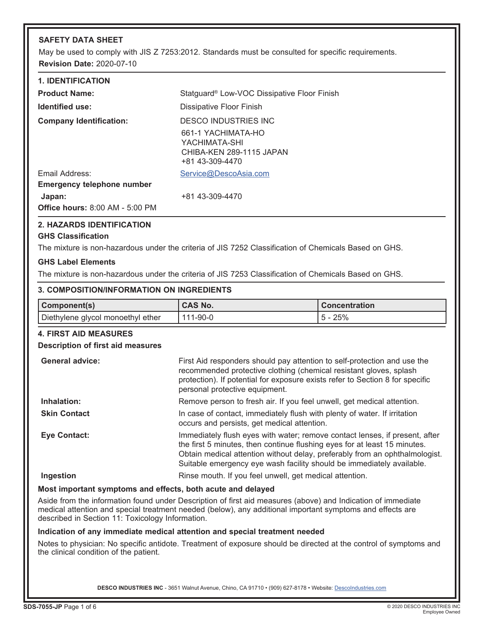# **SAFETY DATA SHEET**

May be used to comply with JIS Z 7253:2012. Standards must be consulted for specific requirements. **Revision Date:** 2020-07-10

| <b>1. IDENTIFICATION</b>               |                                                                                    |
|----------------------------------------|------------------------------------------------------------------------------------|
| <b>Product Name:</b>                   | Statguard <sup>®</sup> Low-VOC Dissipative Floor Finish                            |
| Identified use:                        | Dissipative Floor Finish                                                           |
| <b>Company Identification:</b>         | DESCO INDUSTRIES INC                                                               |
|                                        | 661-1 YACHIMATA-HO<br>YACHIMATA-SHI<br>CHIBA-KEN 289-1115 JAPAN<br>+81 43-309-4470 |
| Email Address:                         | Service@DescoAsia.com                                                              |
| <b>Emergency telephone number</b>      |                                                                                    |
| Japan:                                 | +81 43-309-4470                                                                    |
| <b>Office hours: 8:00 AM - 5:00 PM</b> |                                                                                    |

# **2. HAZARDS IDENTIFICATION**

## **GHS Classification**

The mixture is non-hazardous under the criteria of JIS 7252 Classification of Chemicals Based on GHS.

## **GHS Label Elements**

The mixture is non-hazardous under the criteria of JIS 7253 Classification of Chemicals Based on GHS.

### **3. COMPOSITION/INFORMATION ON INGREDIENTS**

| Component(s)                      | <sup>1</sup> CAS No. | <b>Concentration</b> |
|-----------------------------------|----------------------|----------------------|
| Diethylene glycol monoethyl ether | $111 - 90 - 0$       | $5 - 25%$            |

## **4. FIRST AID MEASURES**

## **Description of first aid measures**

| <b>General advice:</b> | First Aid responders should pay attention to self-protection and use the<br>recommended protective clothing (chemical resistant gloves, splash<br>protection). If potential for exposure exists refer to Section 8 for specific<br>personal protective equipment.                                                |
|------------------------|------------------------------------------------------------------------------------------------------------------------------------------------------------------------------------------------------------------------------------------------------------------------------------------------------------------|
| Inhalation:            | Remove person to fresh air. If you feel unwell, get medical attention.                                                                                                                                                                                                                                           |
| <b>Skin Contact</b>    | In case of contact, immediately flush with plenty of water. If irritation<br>occurs and persists, get medical attention.                                                                                                                                                                                         |
| <b>Eye Contact:</b>    | Immediately flush eyes with water; remove contact lenses, if present, after<br>the first 5 minutes, then continue flushing eyes for at least 15 minutes.<br>Obtain medical attention without delay, preferably from an ophthalmologist.<br>Suitable emergency eye wash facility should be immediately available. |
| Ingestion              | Rinse mouth. If you feel unwell, get medical attention.                                                                                                                                                                                                                                                          |

## **Most important symptoms and effects, both acute and delayed**

Aside from the information found under Description of first aid measures (above) and Indication of immediate medical attention and special treatment needed (below), any additional important symptoms and effects are described in Section 11: Toxicology Information.

## **Indication of any immediate medical attention and special treatment needed**

Notes to physician: No specific antidote. Treatment of exposure should be directed at the control of symptoms and the clinical condition of the patient.

DESCO INDUSTRIES INC - 3651 Walnut Avenue, Chino, CA 91710 • (909) 627-8178 • Website: Descolndustries.com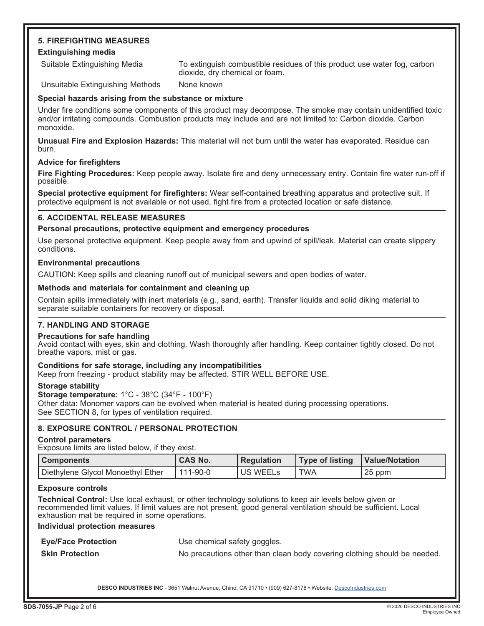# **5. FIREFIGHTING MEASURES Extinguishing media**

Suitable Extinguishing Media To extinguish combustible residues of this product use water fog, carbon dioxide, dry chemical or foam.

Unsuitable Extinguishing Methods None known

# **Special hazards arising from the substance or mixture**

Under fire conditions some components of this product may decompose. The smoke may contain unidentified toxic and/or irritating compounds. Combustion products may include and are not limited to: Carbon dioxide. Carbon monoxide.

**Unusual Fire and Explosion Hazards:** This material will not burn until the water has evaporated. Residue can burn.

# **Advice for firefighters**

**Fire Fighting Procedures:** Keep people away. Isolate fire and deny unnecessary entry. Contain fire water run-off if possible.

**Special protective equipment for firefighters:** Wear self-contained breathing apparatus and protective suit. If protective equipment is not available or not used, fight fire from a protected location or safe distance.

# **6. ACCIDENTAL RELEASE MEASURES**

# **Personal precautions, protective equipment and emergency procedures**

Use personal protective equipment. Keep people away from and upwind of spill/leak. Material can create slippery conditions.

# **Environmental precautions**

CAUTION: Keep spills and cleaning runoff out of municipal sewers and open bodies of water.

# **Methods and materials for containment and cleaning up**

Contain spills immediately with inert materials (e.g., sand, earth). Transfer liquids and solid diking material to separate suitable containers for recovery or disposal.

# **7. HANDLING AND STORAGE**

## **Precautions for safe handling**

Avoid contact with eyes, skin and clothing. Wash thoroughly after handling. Keep container tightly closed. Do not breathe vapors, mist or gas.

## **Conditions for safe storage, including any incompatibilities**

Keep from freezing - product stability may be affected. STIR WELL BEFORE USE.

# **Storage stability**

**Storage temperature:** 1°C - 38°C (34°F - 100°F) Other data: Monomer vapors can be evolved when material is heated during processing operations. See SECTION 8, for types of ventilation required.

# **8. EXPOSURE CONTROL / PERSONAL PROTECTION**

## **Control parameters**

Exposure limits are listed below, if they exist.

| l Components                      | <b>CAS No.</b> | <b>Requiation</b> | Type of listing | Value/Notation |
|-----------------------------------|----------------|-------------------|-----------------|----------------|
| Diethylene Glycol Monoethyl Ether | l 111-90-0     | <b>US WEELS</b>   | <b>TWA</b>      | 25 ppm         |

## **Exposure controls**

**Technical Control:** Use local exhaust, or other technology solutions to keep air levels below given or recommended limit values. If limit values are not present, good general ventilation should be sufficient. Local exhaustion mat be required in some operations.

# **Individual protection measures**

**Eye/Face Protection** Use chemical safety goggles.

**Skin Protection** No precautions other than clean body covering clothing should be needed.

DESCO INDUSTRIES INC - 3651 Walnut Avenue, Chino, CA 91710 · (909) 627-8178 · Website: [DescoIndustries.com](http://www.descoindustries.com)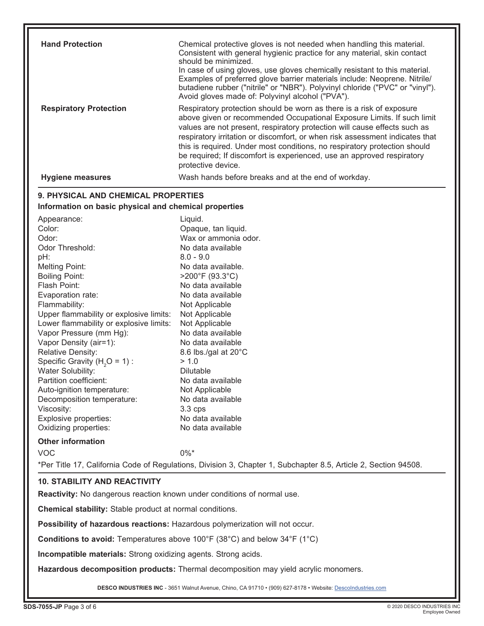| <b>Hand Protection</b>                                                         | Chemical protective gloves is not needed when handling this material.<br>Consistent with general hygienic practice for any material, skin contact       |  |
|--------------------------------------------------------------------------------|---------------------------------------------------------------------------------------------------------------------------------------------------------|--|
|                                                                                | should be minimized.                                                                                                                                    |  |
|                                                                                | In case of using gloves, use gloves chemically resistant to this material.<br>Examples of preferred glove barrier materials include: Neoprene. Nitrile/ |  |
|                                                                                | butadiene rubber ("nitrile" or "NBR"). Polyvinyl chloride ("PVC" or "vinyl").                                                                           |  |
|                                                                                | Avoid gloves made of: Polyvinyl alcohol ("PVA").                                                                                                        |  |
| <b>Respiratory Protection</b>                                                  | Respiratory protection should be worn as there is a risk of exposure                                                                                    |  |
|                                                                                | above given or recommended Occupational Exposure Limits. If such limit                                                                                  |  |
|                                                                                | values are not present, respiratory protection will cause effects such as                                                                               |  |
|                                                                                | respiratory irritation or discomfort, or when risk assessment indicates that                                                                            |  |
|                                                                                | this is required. Under most conditions, no respiratory protection should                                                                               |  |
|                                                                                | be required; If discomfort is experienced, use an approved respiratory                                                                                  |  |
|                                                                                | protective device.                                                                                                                                      |  |
| <b>Hygiene measures</b>                                                        | Wash hands before breaks and at the end of workday.                                                                                                     |  |
| 9. PHYSICAL AND CHEMICAL PROPERTIES                                            |                                                                                                                                                         |  |
| Information on basic physical and chemical properties                          |                                                                                                                                                         |  |
| Appearance:                                                                    | Liquid.                                                                                                                                                 |  |
| Color:                                                                         | Opaque, tan liquid.                                                                                                                                     |  |
| Odor:                                                                          | Wax or ammonia odor.                                                                                                                                    |  |
| Odor Threshold:                                                                | No data available                                                                                                                                       |  |
| pH:                                                                            | $8.0 - 9.0$                                                                                                                                             |  |
| <b>Melting Point:</b>                                                          | No data available.                                                                                                                                      |  |
| <b>Boiling Point:</b>                                                          | $>200^{\circ}$ F (93.3 $^{\circ}$ C)                                                                                                                    |  |
| Flash Point:                                                                   | No data available                                                                                                                                       |  |
| Evaporation rate:                                                              | No data available                                                                                                                                       |  |
| Flammability:                                                                  | Not Applicable                                                                                                                                          |  |
| Upper flammability or explosive limits:                                        | Not Applicable                                                                                                                                          |  |
| Lower flammability or explosive limits:                                        | Not Applicable                                                                                                                                          |  |
| Vapor Pressure (mm Hg):                                                        | No data available                                                                                                                                       |  |
| Vapor Density (air=1):                                                         | No data available                                                                                                                                       |  |
| Relative Density:                                                              | 8.6 lbs./gal at 20°C                                                                                                                                    |  |
| Specific Gravity ( $H2O = 1$ ) :<br>Water Solubility:                          | > 1.0<br><b>Dilutable</b>                                                                                                                               |  |
| Partition coefficient:                                                         | No data available                                                                                                                                       |  |
| Auto-ignition temperature:                                                     | Not Applicable                                                                                                                                          |  |
| Decomposition temperature:                                                     | No data available                                                                                                                                       |  |
| Viscosity:                                                                     | $3.3$ cps                                                                                                                                               |  |
| Explosive properties:                                                          | No data available                                                                                                                                       |  |
| Oxidizing properties:                                                          | No data available                                                                                                                                       |  |
| <b>Other information</b>                                                       |                                                                                                                                                         |  |
| <b>VOC</b>                                                                     | $0\%$ *                                                                                                                                                 |  |
|                                                                                | *Per Title 17, California Code of Regulations, Division 3, Chapter 1, Subchapter 8.5, Article 2, Section 94508.                                         |  |
|                                                                                |                                                                                                                                                         |  |
| <b>10. STABILITY AND REACTIVITY</b>                                            |                                                                                                                                                         |  |
| <b>Reactivity:</b> No dangerous reaction known under conditions of normal use. |                                                                                                                                                         |  |
| <b>Chemical stability:</b> Stable product at normal conditions.                |                                                                                                                                                         |  |
| Possibility of hazardous reactions: Hazardous polymerization will not occur.   |                                                                                                                                                         |  |

**Conditions to avoid:** Temperatures above 100°F (38°C) and below 34°F (1°C)

**Incompatible materials:** Strong oxidizing agents. Strong acids.

**Hazardous decomposition products:** Thermal decomposition may yield acrylic monomers.

DESCO INDUSTRIES INC - 3651 Walnut Avenue, Chino, CA 91710 · (909) 627-8178 · Website: [DescoIndustries.com](http://www.descoindustries.com)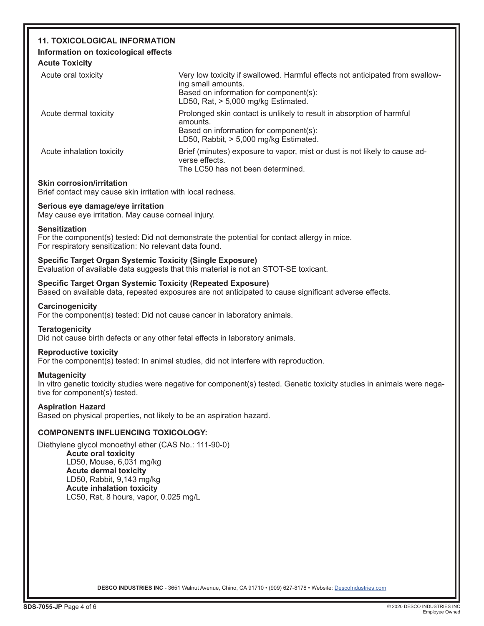# **11. TOXICOLOGICAL INFORMATION**

# **Information on toxicological effects**

**Acute Toxicity**

| Very low toxicity if swallowed. Harmful effects not anticipated from swallow-<br>ing small amounts.<br>Based on information for component(s):<br>LD50, Rat, $> 5,000$ mg/kg Estimated. |
|----------------------------------------------------------------------------------------------------------------------------------------------------------------------------------------|
| Prolonged skin contact is unlikely to result in absorption of harmful<br>amounts.<br>Based on information for component(s):<br>LD50, Rabbit, > 5,000 mg/kg Estimated.                  |
| Brief (minutes) exposure to vapor, mist or dust is not likely to cause ad-<br>verse effects.<br>The LC50 has not been determined.                                                      |
|                                                                                                                                                                                        |

# **Skin corrosion/irritation**

Brief contact may cause skin irritation with local redness.

# **Serious eye damage/eye irritation**

May cause eye irritation. May cause corneal injury.

## **Sensitization**

For the component(s) tested: Did not demonstrate the potential for contact allergy in mice. For respiratory sensitization: No relevant data found.

# **Specific Target Organ Systemic Toxicity (Single Exposure)**

Evaluation of available data suggests that this material is not an STOT-SE toxicant.

## **Specific Target Organ Systemic Toxicity (Repeated Exposure)**

Based on available data, repeated exposures are not anticipated to cause significant adverse effects.

## **Carcinogenicity**

For the component(s) tested: Did not cause cancer in laboratory animals.

## **Teratogenicity**

Did not cause birth defects or any other fetal effects in laboratory animals.

## **Reproductive toxicity**

For the component(s) tested: In animal studies, did not interfere with reproduction.

## **Mutagenicity**

In vitro genetic toxicity studies were negative for component(s) tested. Genetic toxicity studies in animals were negative for component(s) tested.

## **Aspiration Hazard**

Based on physical properties, not likely to be an aspiration hazard.

# **COMPONENTS INFLUENCING TOXICOLOGY:**

Diethylene glycol monoethyl ether (CAS No.: 111-90-0) **Acute oral toxicity** LD50, Mouse, 6,031 mg/kg **Acute dermal toxicity**  LD50, Rabbit, 9,143 mg/kg **Acute inhalation toxicity** LC50, Rat, 8 hours, vapor, 0.025 mg/L

DESCO INDUSTRIES INC - 3651 Walnut Avenue, Chino, CA 91710 • (909) 627-8178 • Website: Descolndustries.com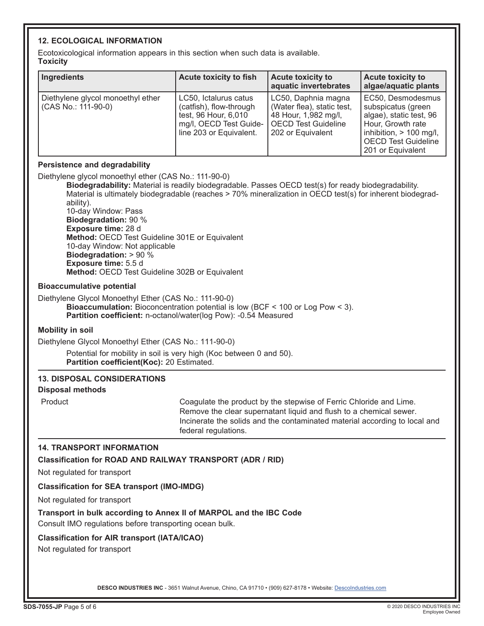# **12. ECOLOGICAL INFORMATION**

Ecotoxicological information appears in this section when such data is available. **Toxicity**

| Ingredients                                             | <b>Acute toxicity to fish</b>                                                                                                 | <b>Acute toxicity to</b><br>aquatic invertebrates                                                                            | <b>Acute toxicity to</b><br>algae/aquatic plants                                                                                                                        |
|---------------------------------------------------------|-------------------------------------------------------------------------------------------------------------------------------|------------------------------------------------------------------------------------------------------------------------------|-------------------------------------------------------------------------------------------------------------------------------------------------------------------------|
| Diethylene glycol monoethyl ether<br>CAS No.: 111-90-0) | LC50, Ictalurus catus<br>(catfish), flow-through<br>test, 96 Hour, 6,010<br>mg/l, OECD Test Guide-<br>line 203 or Equivalent. | LC50, Daphnia magna<br>(Water flea), static test,<br>48 Hour, 1,982 mg/l,<br><b>OECD Test Guideline</b><br>202 or Equivalent | EC50. Desmodesmus<br>subspicatus (green<br>algae), static test, 96<br>Hour, Growth rate<br>inhibition, $> 100$ mg/l,<br><b>OECD Test Guideline</b><br>201 or Equivalent |

# **Persistence and degradability**

Diethylene glycol monoethyl ether (CAS No.: 111-90-0)

**Biodegradability:** Material is readily biodegradable. Passes OECD test(s) for ready biodegradability. Material is ultimately biodegradable (reaches > 70% mineralization in OECD test(s) for inherent biodegradability).

10-day Window: Pass **Biodegradation:** 90 % **Exposure time:** 28 d **Method:** OECD Test Guideline 301E or Equivalent 10-day Window: Not applicable **Biodegradation:** > 90 % **Exposure time:** 5.5 d **Method:** OECD Test Guideline 302B or Equivalent

## **Bioaccumulative potential**

Diethylene Glycol Monoethyl Ether (CAS No.: 111-90-0) **Bioaccumulation:** Bioconcentration potential is low (BCF < 100 or Log Pow < 3). **Partition coefficient:** n-octanol/water(log Pow): -0.54 Measured

## **Mobility in soil**

Diethylene Glycol Monoethyl Ether (CAS No.: 111-90-0)

Potential for mobility in soil is very high (Koc between 0 and 50). **Partition coefficient(Koc):** 20 Estimated.

# **13. DISPOSAL CONSIDERATIONS**

**Disposal methods**

Product Coagulate the product by the stepwise of Ferric Chloride and Lime. Remove the clear supernatant liquid and flush to a chemical sewer. Incinerate the solids and the contaminated material according to local and federal regulations.

## **14. TRANSPORT INFORMATION**

**Classification for ROAD AND RAILWAY TRANSPORT (ADR / RID)**

Not regulated for transport

## **Classification for SEA transport (IMO-IMDG)**

Not regulated for transport

# **Transport in bulk according to Annex II of MARPOL and the IBC Code**

Consult IMO regulations before transporting ocean bulk.

# **Classification for AIR transport (IATA/ICAO)**

Not regulated for transport

DESCO INDUSTRIES INC - 3651 Walnut Avenue, Chino, CA 91710 • (909) 627-8178 • Website: Descolndustries.com